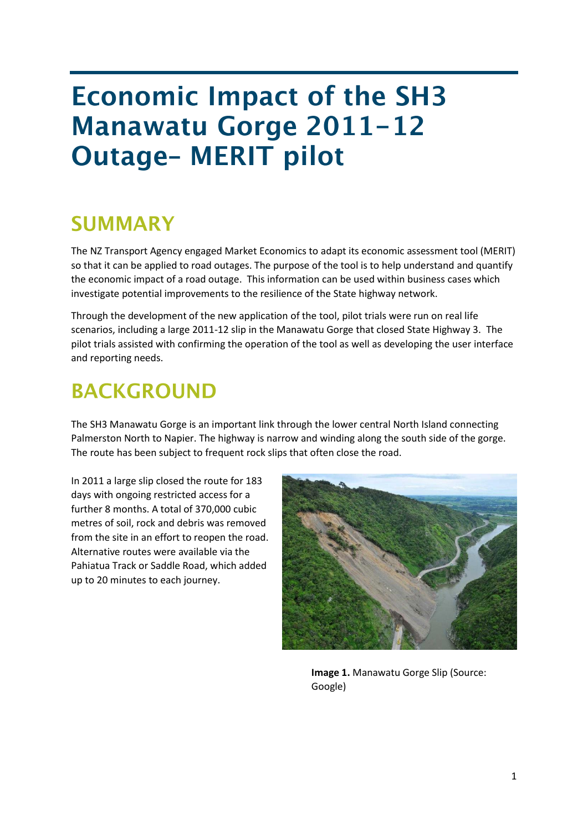# **Economic Impact of the SH3 Manawatu Gorge 2011-12 Outage- MERIT pilot**

### **SUMMARY**

The NZ Transport Agency engaged Market Economics to adapt its economic assessment tool (MERIT) so that it can be applied to road outages. The purpose of the tool is to help understand and quantify the economic impact of a road outage. This information can be used within business cases which investigate potential improvements to the resilience of the State highway network.

Through the development of the new application of the tool, pilot trials were run on real life scenarios, including a large 2011-12 slip in the Manawatu Gorge that closed State Highway 3. The pilot trials assisted with confirming the operation of the tool as well as developing the user interface and reporting needs.

## **BACKGROUND**

The SH3 Manawatu Gorge is an important link through the lower central North Island connecting Palmerston North to Napier. The highway is narrow and winding along the south side of the gorge. The route has been subject to frequent rock slips that often close the road.

In 2011 a large slip closed the route for 183 days with ongoing restricted access for a further 8 months. A total of 370,000 cubic metres of soil, rock and debris was removed from the site in an effort to reopen the road. Alternative routes were available via the Pahiatua Track or Saddle Road, which added up to 20 minutes to each journey.



**Image 1.** Manawatu Gorge Slip (Source: Google)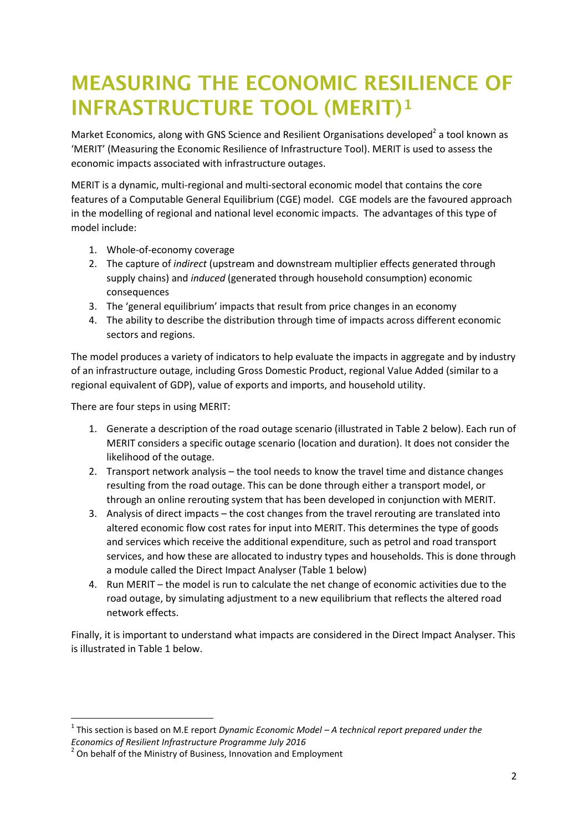# **MEASURING THE ECONOMIC RESILIENCE OF INFRASTRUCTURE TOOL (MERIT)1**

Market Economics, along with GNS Science and Resilient Organisations developed<sup>2</sup> a tool known as 'MERIT' (Measuring the Economic Resilience of Infrastructure Tool). MERIT is used to assess the economic impacts associated with infrastructure outages.

MERIT is a dynamic, multi-regional and multi-sectoral economic model that contains the core features of a Computable General Equilibrium (CGE) model. CGE models are the favoured approach in the modelling of regional and national level economic impacts. The advantages of this type of model include:

- 1. Whole-of-economy coverage
- 2. The capture of *indirect* (upstream and downstream multiplier effects generated through supply chains) and *induced* (generated through household consumption) economic consequences
- 3. The 'general equilibrium' impacts that result from price changes in an economy
- 4. The ability to describe the distribution through time of impacts across different economic sectors and regions.

The model produces a variety of indicators to help evaluate the impacts in aggregate and by industry of an infrastructure outage, including Gross Domestic Product, regional Value Added (similar to a regional equivalent of GDP), value of exports and imports, and household utility.

There are four steps in using MERIT:

**.** 

- 1. Generate a description of the road outage scenario (illustrated in Table 2 below). Each run of MERIT considers a specific outage scenario (location and duration). It does not consider the likelihood of the outage.
- 2. Transport network analysis the tool needs to know the travel time and distance changes resulting from the road outage. This can be done through either a transport model, or through an online rerouting system that has been developed in conjunction with MERIT.
- 3. Analysis of direct impacts the cost changes from the travel rerouting are translated into altered economic flow cost rates for input into MERIT. This determines the type of goods and services which receive the additional expenditure, such as petrol and road transport services, and how these are allocated to industry types and households. This is done through a module called the Direct Impact Analyser (Table 1 below)
- 4. Run MERIT the model is run to calculate the net change of economic activities due to the road outage, by simulating adjustment to a new equilibrium that reflects the altered road network effects.

Finally, it is important to understand what impacts are considered in the Direct Impact Analyser. This is illustrated in Table 1 below.

<sup>1</sup> This section is based on M.E report *Dynamic Economic Model – A technical report prepared under the Economics of Resilient Infrastructure Programme July 2016*

<sup>&</sup>lt;sup>2</sup> On behalf of the Ministry of Business, Innovation and Employment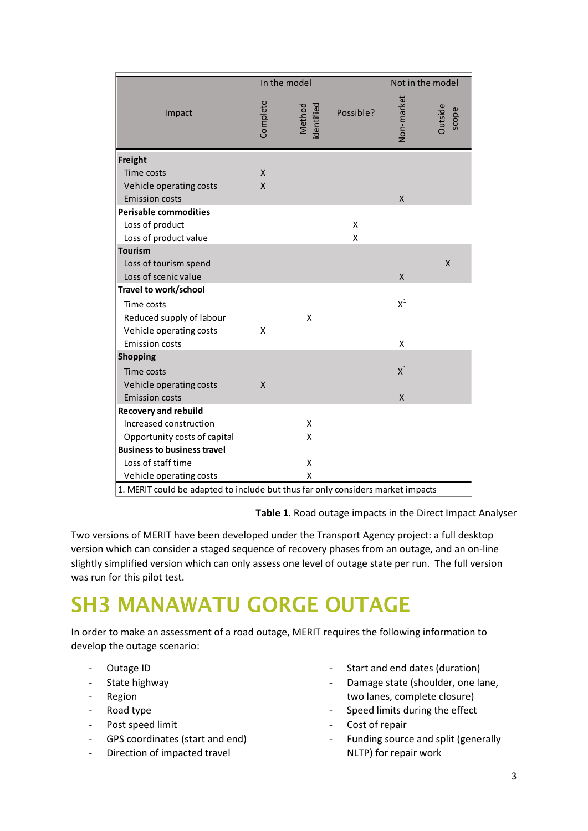|                                                                                 | In the model |                             |           | Not in the model |                  |
|---------------------------------------------------------------------------------|--------------|-----------------------------|-----------|------------------|------------------|
| Impact                                                                          | Complete     | <b>Method</b><br>identified | Possible? | Non-market       | Outside<br>scope |
| Freight                                                                         |              |                             |           |                  |                  |
| <b>Time costs</b>                                                               | X            |                             |           |                  |                  |
| Vehicle operating costs                                                         | X            |                             |           |                  |                  |
| <b>Emission costs</b>                                                           |              |                             |           | $\mathsf{x}$     |                  |
| <b>Perisable commodities</b>                                                    |              |                             |           |                  |                  |
| Loss of product                                                                 |              |                             | Χ         |                  |                  |
| Loss of product value                                                           |              |                             | X         |                  |                  |
| <b>Tourism</b>                                                                  |              |                             |           |                  |                  |
| Loss of tourism spend                                                           |              |                             |           |                  | Χ                |
| Loss of scenic value                                                            |              |                             |           | $\mathsf{x}$     |                  |
| Travel to work/school                                                           |              |                             |           |                  |                  |
| Time costs                                                                      |              |                             |           | $X^1$            |                  |
| Reduced supply of labour                                                        |              | X                           |           |                  |                  |
| Vehicle operating costs                                                         | X            |                             |           |                  |                  |
| <b>Emission costs</b>                                                           |              |                             |           | X                |                  |
| <b>Shopping</b>                                                                 |              |                             |           |                  |                  |
| Time costs                                                                      |              |                             |           | $X^1$            |                  |
| Vehicle operating costs                                                         | X            |                             |           |                  |                  |
| <b>Emission costs</b>                                                           |              |                             |           | $\mathsf{x}$     |                  |
| <b>Recovery and rebuild</b>                                                     |              |                             |           |                  |                  |
| Increased construction                                                          |              | X                           |           |                  |                  |
| Opportunity costs of capital                                                    |              | X                           |           |                  |                  |
| <b>Business to business travel</b>                                              |              |                             |           |                  |                  |
| Loss of staff time                                                              |              | X                           |           |                  |                  |
| Vehicle operating costs                                                         |              | X                           |           |                  |                  |
| 1. MERIT could be adapted to include but thus far only considers market impacts |              |                             |           |                  |                  |

**Table 1**. Road outage impacts in the Direct Impact Analyser

Two versions of MERIT have been developed under the Transport Agency project: a full desktop version which can consider a staged sequence of recovery phases from an outage, and an on-line slightly simplified version which can only assess one level of outage state per run. The full version was run for this pilot test.

# **SH3 MANAWATU GORGE OUTAGE**

In order to make an assessment of a road outage, MERIT requires the following information to develop the outage scenario:

- Outage ID
- State highway
- Region
- Road type
- Post speed limit
- GPS coordinates (start and end)
- Direction of impacted travel
- Start and end dates (duration)
- Damage state (shoulder, one lane, two lanes, complete closure)
- Speed limits during the effect
- Cost of repair
- Funding source and split (generally NLTP) for repair work